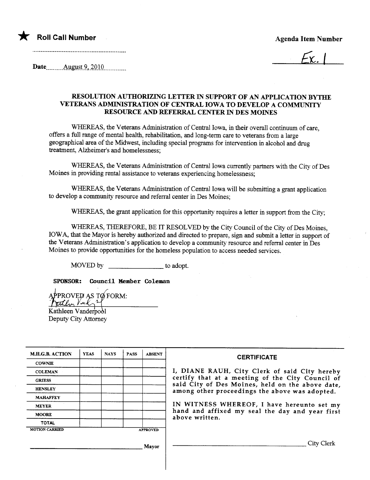

 $L_{\rm{Y}}$  |

Date  $\frac{\text{August 9, 2010}}{\text{August 9, 2010}}$ 

## RESOLUTION AUTHORIZING LETTER IN SUPPORT OF AN APPLICATION BYTHE VETERANS ADMINISTRATION OF CENTRAL IOWA TO DEVELOP A COMMUNITY RESOURCE AND REFERRAL CENTER IN DES MOINES

WHREAS, the Veterans Administration of Central Iowa, in their overall continuum of care, offers a full range of mental health, rehabilitation, and long-term care to veterans from a large geographical area of the Midwest, including special programs for intervention in alcohol and drug treatment, Alzheimer's and homelessness;

WHEREAS, the Veterans Administration of Central Iowa currently partners with the City of Des Moines in providing rental assistance to veterans experiencing homelessness;

WHEREAS, the Veterans Administration of Central Iowa will be submitting a grant application to develop a community resource and referral center in Des Moines;

WHEREAS, the grant application for this opportunity requires a letter in support from the City;

WHEREAS, THEREFORE, BE IT RESOLVED by the City Council of the City of Des Moines, IOWA, that the Mayor is hereby authorized and directed to prepare, sign and submit a letter in support of the Veterans Administration's application to develop a community resource and referral center in Des Moines to provide opportunities for the homeless population to access needed services.

MOVED by to adopt.

SPONSOR: Council Member Coleman

APPROVED AS TO FORM:<br>Kathleen Vanderpool

Deputy City Attorney

| <b>M.H.G.B. ACTION</b> | <b>YEAS</b> | <b>NAYS</b> | <b>PASS</b> | <b>ABSENT</b>   |                                                                                                                                                                                                                                                                                                                            |
|------------------------|-------------|-------------|-------------|-----------------|----------------------------------------------------------------------------------------------------------------------------------------------------------------------------------------------------------------------------------------------------------------------------------------------------------------------------|
|                        |             |             |             |                 | <b>CERTIFICATE</b>                                                                                                                                                                                                                                                                                                         |
| <b>COWNIE</b>          |             |             |             |                 |                                                                                                                                                                                                                                                                                                                            |
| <b>COLEMAN</b>         |             |             |             |                 | I, DIANE RAUH, City Clerk of said City hereby<br>certify that at a meeting of the City Council of<br>said City of Des Moines, held on the above date,<br>among other proceedings the above was adopted.<br>IN WITNESS WHEREOF, I have hereunto set my<br>hand and affixed my seal the day and year first<br>above written. |
| <b>GRIESS</b>          |             |             |             |                 |                                                                                                                                                                                                                                                                                                                            |
| <b>HENSLEY</b>         |             |             |             |                 |                                                                                                                                                                                                                                                                                                                            |
| <b>MAHAFFEY</b>        |             |             |             |                 |                                                                                                                                                                                                                                                                                                                            |
| <b>MEYER</b>           |             |             |             |                 |                                                                                                                                                                                                                                                                                                                            |
| <b>MOORE</b>           |             |             |             |                 |                                                                                                                                                                                                                                                                                                                            |
| <b>TOTAL</b>           |             |             |             |                 |                                                                                                                                                                                                                                                                                                                            |
| <b>MOTION CARRIED</b>  |             |             |             | <b>APPROVED</b> |                                                                                                                                                                                                                                                                                                                            |
|                        |             |             |             | Mavor           | $\mathbf{C}$ ity (                                                                                                                                                                                                                                                                                                         |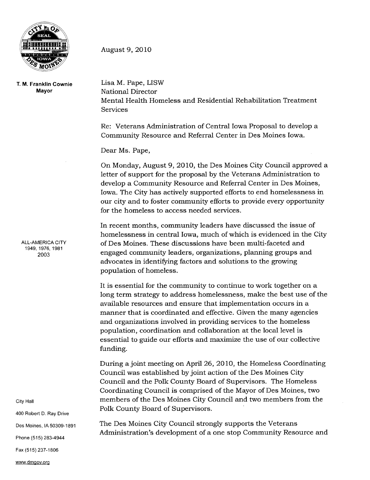

T. M. Franklin Cownie Mayor

ALL-AMERICA CITY 1949, 1976, 1981 2003

City Hall

400 Robert D. Ray Drive

Des Moines, IA 50309-1891

Phone (515) 283-4944

Fax (515) 237-1806

August 9,2010

Lisa M. Pape, LISW National Director Mental Health Homeless and Residential Rehabilitation Treatment Services

Re: Veterans Administration of Central Iowa Proposal to develop a Community Resource and Referral Center in Des Moines Iowa.

Dear Ms. Pape,

On Monday, August 9,2010, the Des Moines City Council approved a letter of support for the proposal by the Veterans Administration to develop a Community Resource and Referral Center in Des Moines, Iowa. The City has actively supported efforts to end homelessness in our city and to foster community efforts to provide every opportunity for the homeless to access needed services.

In recent months, community leaders have discussed the issue of homelessness in central Iowa, much of which is evidenced in the City of Des Moines. These discussions have been multi-faceted and engaged community leaders, organizations, planning groups and advocates in identifying factors and solutions to the growing population of homeless.

It is essential for the community to continue to work together on a long term strategy to address homelessness, make the best use of the available resources and ensure that implementation occurs in a manner that is coordinated and effective. Given the many agencies and organizations involved in providing services to the homeless population, coordination and collaboration at the local level is essential to guide our efforts and maximize the use of our collective funding.

During a joint meeting on April 26, 2010, the Homeless Coordinating Council was established by joint action of the Des Moines City Council and the Polk County Board of Supervisors. The Homeless Coordinating Council is comprised of the Mayor of Des Moines, two members of the Des Moines City Council and two members from the Polk County Board of Supervisors.

The Des Moines City Council strongly supports the Veterans Administration's development of a one stop Community Resource and